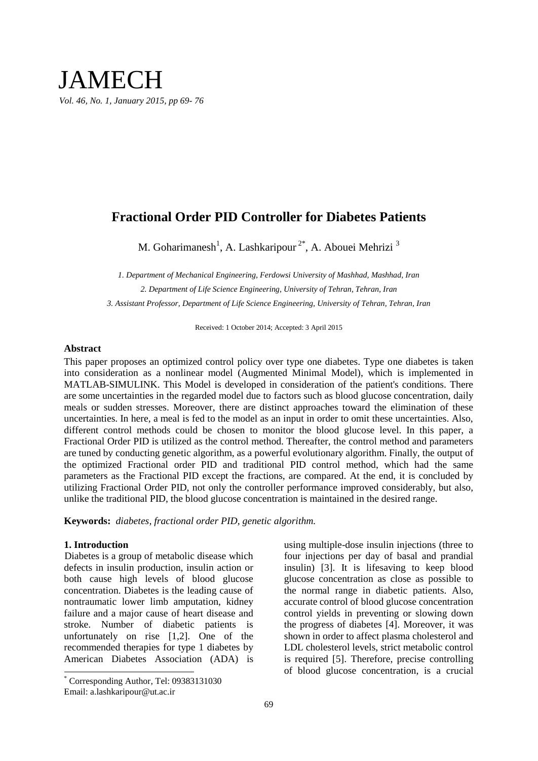# JAMECH *Vol. 46, No. 1, January 2015, pp 69- 76*

# **Fractional Order PID Controller for Diabetes Patients**

M. Goharimanesh<sup>1</sup>, A. Lashkaripour<sup>2\*</sup>, A. Abouei Mehrizi<sup>3</sup>

*1. Department of Mechanical Engineering, Ferdowsi University of Mashhad, Mashhad, Iran 2. Department of Life Science Engineering, University of Tehran, Tehran, Iran 3. Assistant Professor, Department of Life Science Engineering, University of Tehran, Tehran, Iran*

Received: 1 October 2014; Accepted: 3 April 2015

### **Abstract**

This paper proposes an optimized control policy over type one diabetes. Type one diabetes is taken into consideration as a nonlinear model (Augmented Minimal Model), which is implemented in MATLAB-SIMULINK. This Model is developed in consideration of the patient's conditions. There are some uncertainties in the regarded model due to factors such as blood glucose concentration, daily meals or sudden stresses. Moreover, there are distinct approaches toward the elimination of these uncertainties. In here, a meal is fed to the model as an input in order to omit these uncertainties. Also, different control methods could be chosen to monitor the blood glucose level. In this paper, a Fractional Order PID is utilized as the control method. Thereafter, the control method and parameters are tuned by conducting genetic algorithm, as a powerful evolutionary algorithm. Finally, the output of the optimized Fractional order PID and traditional PID control method, which had the same parameters as the Fractional PID except the fractions, are compared. At the end, it is concluded by utilizing Fractional Order PID, not only the controller performance improved considerably, but also, unlike the traditional PID, the blood glucose concentration is maintained in the desired range.

**Keywords:** *diabetes, fractional order PID, genetic algorithm.*

### **1. Introduction**

 $\overline{a}$ 

Diabetes is a group of metabolic disease which defects in insulin production, insulin action or both cause high levels of blood glucose concentration. Diabetes is the leading cause of nontraumatic lower limb amputation, kidney failure and a major cause of heart disease and stroke. Number of diabetic patients is unfortunately on rise [1,2]. One of the recommended therapies for type 1 diabetes by American Diabetes Association (ADA) is

Email: a.lashkaripour@ut.ac.ir

using multiple-dose insulin injections (three to four injections per day of basal and prandial insulin) [3]. It is lifesaving to keep blood glucose concentration as close as possible to the normal range in diabetic patients. Also, accurate control of blood glucose concentration control yields in preventing or slowing down the progress of diabetes [4]. Moreover, it was shown in order to affect plasma cholesterol and LDL cholesterol levels, strict metabolic control is required [5]. Therefore, precise controlling of blood glucose concentration, is a crucial

<sup>\*</sup> Corresponding Author, Tel: 09383131030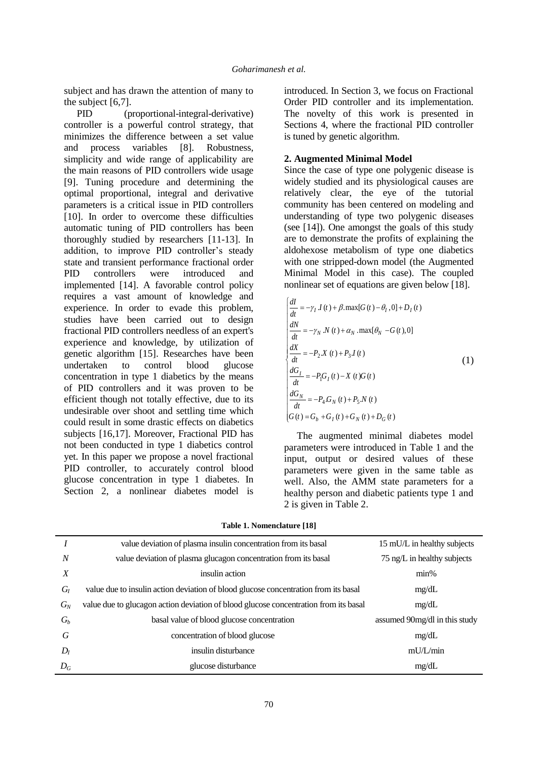subject and has drawn the attention of many to the subject [6,7].

PID (proportional-integral-derivative) controller is a powerful control strategy, that minimizes the difference between a set value and process variables [8]. Robustness, simplicity and wide range of applicability are the main reasons of PID controllers wide usage [9]. Tuning procedure and determining the optimal proportional, integral and derivative parameters is a critical issue in PID controllers [10]. In order to overcome these difficulties automatic tuning of PID controllers has been thoroughly studied by researchers [11-13]. In addition, to improve PID controller's steady state and transient performance fractional order PID controllers were introduced and implemented [14]. A favorable control policy requires a vast amount of knowledge and experience. In order to evade this problem, studies have been carried out to design fractional PID controllers needless of an expert's experience and knowledge, by utilization of genetic algorithm [15]. Researches have been undertaken to control blood glucose concentration in type 1 diabetics by the means of PID controllers and it was proven to be efficient though not totally effective, due to its undesirable over shoot and settling time which could result in some drastic effects on diabetics subjects [16,17]. Moreover, Fractional PID has not been conducted in type 1 diabetics control yet. In this paper we propose a novel fractional PID controller, to accurately control blood glucose concentration in type 1 diabetes. In Section 2, a nonlinear diabetes model is

introduced. In Section 3, we focus on Fractional Order PID controller and its implementation. The novelty of this work is presented in Sections 4, where the fractional PID controller is tuned by genetic algorithm.

## **2. Augmented Minimal Model**

Since the case of type one polygenic disease is widely studied and its physiological causes are relatively clear, the eye of the tutorial community has been centered on modeling and understanding of type two polygenic diseases (see [14]). One amongst the goals of this study are to demonstrate the profits of explaining the aldohexose metabolism of type one diabetics with one stripped-down model (the Augmented Minimal Model in this case). The coupled nonlinear set of equations are given below [18].

$$
\begin{cases}\n\frac{dI}{dt} = -\gamma_I \, J(t) + \beta \cdot \max[G(t) - \theta_I, 0] + D_I(t) \\
\frac{dN}{dt} = -\gamma_N \, N(t) + \alpha_N \cdot \max[\theta_N - G(t), 0] \\
\frac{dX}{dt} = -P_2 X(t) + P_3 I(t) \\
\frac{dG_I}{dt} = -P_1 G_I(t) - X(t) G(t) \\
\frac{dG_N}{dt} = -P_4 G_N(t) + P_5 N(t) \\
G(t) = G_b + G_I(t) + G_N(t) + D_G(t)\n\end{cases}
$$
\n(1)

The augmented minimal diabetes model parameters were introduced in Table 1 and the input, output or desired values of these parameters were given in the same table as well. Also, the AMM state parameters for a healthy person and diabetic patients type 1 and 2 is given in Table 2.

|                  | value deviation of plasma insulin concentration from its basal                       | 15 mU/L in healthy subjects   |
|------------------|--------------------------------------------------------------------------------------|-------------------------------|
| $\overline{N}$   | value deviation of plasma glucagon concentration from its basal                      | 75 ng/L in healthy subjects   |
| $\boldsymbol{X}$ | insulin action                                                                       | $min\%$                       |
| $G_I$            | value due to insulin action deviation of blood glucose concentration from its basal  | mg/dL                         |
| $G_N$            | value due to glucagon action deviation of blood glucose concentration from its basal | mg/dL                         |
| $G_b$            | basal value of blood glucose concentration                                           | assumed 90mg/dl in this study |
| G                | concentration of blood glucose                                                       | mg/dL                         |
| $D_I$            | insulin disturbance                                                                  | mU/L/min                      |
| $D_G$            | glucose disturbance                                                                  | mg/dL                         |

**Table 1. Nomenclature [18]**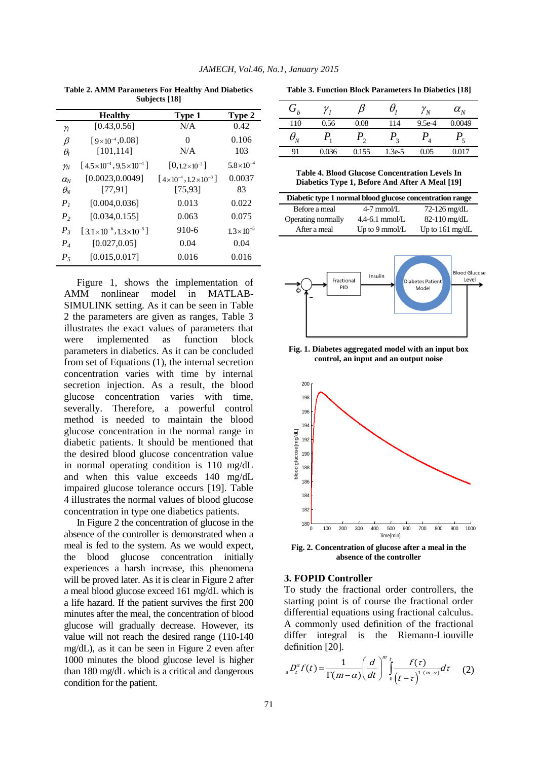| <b>DUDICLE</b> 1101               |                                            |                                      |                      |  |  |  |
|-----------------------------------|--------------------------------------------|--------------------------------------|----------------------|--|--|--|
|                                   | <b>Healthy</b>                             | Type 1                               | Type 2               |  |  |  |
| Υï                                | [0.43, 0.56]                               | N/A                                  | 0.42                 |  |  |  |
| β                                 | $[9\times10^{-4}, 0.08]$<br>[101, 114]     | 0<br>N/A                             | 0.106<br>103         |  |  |  |
| $\theta_{\rm I}$<br>$\gamma_N$    | $[4.5 \times 10^{-4}, 9.5 \times 10^{-4}]$ | $[0, 1.2 \times 10^{-3}]$            | $5.8\times10^{-4}$   |  |  |  |
| $\alpha_{\scriptscriptstyle N}$   | [0.0023, 0.0049]                           | $[4\times10^{-4}, 1.2\times10^{-3}]$ | 0.0037               |  |  |  |
| $\theta_{\!\scriptscriptstyle N}$ | [77, 91]                                   | [75, 93]                             | 83                   |  |  |  |
| P <sub>1</sub>                    | [0.004, 0.036]                             | 0.013                                | 0.022                |  |  |  |
| P <sub>2</sub>                    | [0.034, 0.155]                             | 0.063                                | 0.075                |  |  |  |
| $P_{3}$                           | $[3.1 \times 10^{-6}, 1.3 \times 10^{-5}]$ | 910-6                                | $1.3 \times 10^{-5}$ |  |  |  |
| $P_{\rm 4}$                       | [0.027, 0.05]                              | 0.04                                 | 0.04                 |  |  |  |
| $P_5$                             | [0.015, 0.017]                             | 0.016                                | 0.016                |  |  |  |

**Table 2. AMM Parameters For Healthy And Diabetics Subjects [18]**

Figure 1, shows the implementation of AMM nonlinear model in MATLAB-SIMULINK setting. As it can be seen in Table 2 the parameters are given as ranges, Table 3 illustrates the exact values of parameters that were implemented as function block parameters in diabetics. As it can be concluded from set of Equations (1), the internal secretion concentration varies with time by internal secretion injection. As a result, the blood glucose concentration varies with time, severally. Therefore, a powerful control method is needed to maintain the blood glucose concentration in the normal range in diabetic patients. It should be mentioned that the desired blood glucose concentration value in normal operating condition is 110 mg/dL and when this value exceeds 140 mg/dL impaired glucose tolerance occurs [19]. Table 4 illustrates the normal values of blood glucose concentration in type one diabetics patients.

In Figure 2 the concentration of glucose in the absence of the controller is demonstrated when a meal is fed to the system. As we would expect, the blood glucose concentration initially experiences a harsh increase, this phenomena will be proved later. As it is clear in Figure 2 after a meal blood glucose exceed 161 mg/dL which is a life hazard. If the patient survives the first 200 minutes after the meal, the concentration of blood glucose will gradually decrease. However, its value will not reach the desired range (110-140 mg/dL), as it can be seen in Figure 2 even after 1000 minutes the blood glucose level is higher than 180 mg/dL which is a critical and dangerous condition for the patient.

**Table 3. Function Block Parameters In Diabetics [18]**

| $G_b$                           |       |       |                | $\boldsymbol{N}$ | $\alpha_{\scriptscriptstyle N}$ |
|---------------------------------|-------|-------|----------------|------------------|---------------------------------|
| 110                             | 0.56  | 0.08  | 114            | $9.5e-4$         | 0.0049                          |
| $\theta_{\scriptscriptstyle N}$ |       |       | $\overline{2}$ |                  |                                 |
| 91                              | 0.036 | 0.155 | $1.3e-5$       | 0.05             | 0.017                           |

**Table 4. Blood Glucose Concentration Levels In Diabetics Type 1, Before And After A Meal [19]**

| Diabetic type 1 normal blood glucose concentration range |                          |                           |  |  |  |
|----------------------------------------------------------|--------------------------|---------------------------|--|--|--|
| Before a meal                                            | $4-7$ mmol/L             | $72-126$ mg/dL            |  |  |  |
| Operating normally                                       | $4.4-6.1$ mmol/L         | $82-110$ mg/dL            |  |  |  |
| After a meal                                             | Up to $9 \text{ mmol/L}$ | Up to $161 \text{ mg/dL}$ |  |  |  |



**Fig. 1. Diabetes aggregated model with an input box control, an input and an output noise**



**Fig. 2. Concentration of glucose after a meal in the absence of the controller**

### **3. FOPID Controller**

To study the fractional order controllers, the starting point is of course the fractional order differential equations using fractional calculus. A commonly used definition of the fractional differ integral is the Riemann-Liouville definition [20].

definition [20].  
<sub>a</sub> 
$$
D_t^{\alpha} f(t) = \frac{1}{\Gamma(m-\alpha)} \left( \frac{d}{dt} \right)^m \int_0^t \frac{f(\tau)}{(t-\tau)^{1-(m-\alpha)}} d\tau
$$
 (2)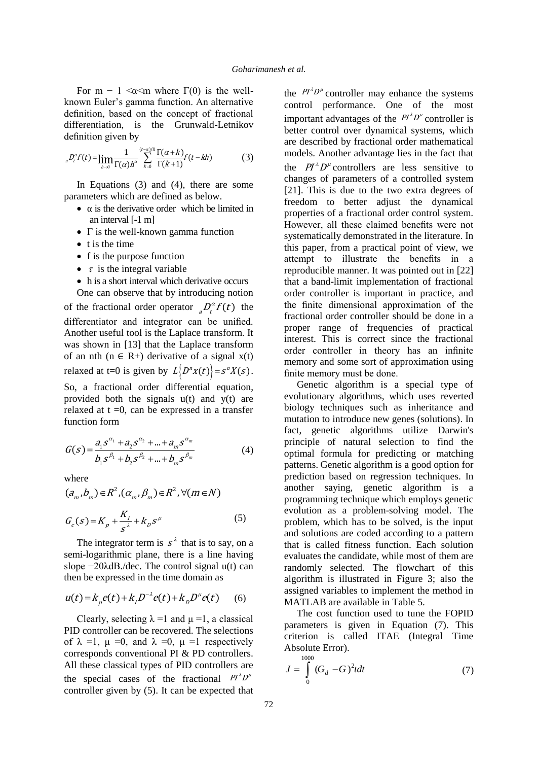For m – 1  $\leq \alpha \leq m$  where  $\Gamma(0)$  is the wellknown Euler's gamma function. An alternative definition, based on the concept of fractional differentiation, is the Grunwald-Letnikov definition given by

a) 
$$
\lim_{a \to 0} \frac{1}{\Gamma(\alpha)h^{\alpha}} \sum_{k=0}^{(t-\alpha)/h} \frac{\Gamma(\alpha+k)}{\Gamma(k+1)} f(t-kh)
$$
 (3)

In Equations (3) and (4), there are some parameters which are defined as below.

- $\bullet$   $\alpha$  is the derivative order which be limited in an interval [-1 m]
- $\bullet$   $\Gamma$  is the well-known gamma function
- $\bullet$  t is the time
- f is the purpose function
- $\tau$  is the integral variable
- h is a short interval which derivative occurs

One can observe that by introducing notion of the fractional order operator  ${}_{a}D_{t}^{\alpha}f(t)$  the differentiator and integrator can be unified. Another useful tool is the Laplace transform. It was shown in [13] that the Laplace transform of an nth ( $n \in R+$ ) derivative of a signal  $x(t)$ relaxed at t=0 is given by  $L\left\{D^n x(t)\right\} = s^n X(s)$ .

So, a fractional order differential equation, provided both the signals u(t) and y(t) are relaxed at  $t = 0$ , can be expressed in a transfer function form

$$
G(s) = \frac{a_1 s^{\alpha_1} + a_2 s^{\alpha_2} + \dots + a_m s^{\alpha_m}}{b_1 s^{\beta_1} + b_2 s^{\beta_2} + \dots + b_m s^{\beta_m}}
$$
(4)

where

where  
\n
$$
(a_m, b_m) \in R^2, (\alpha_m, \beta_m) \in R^2, \forall (m \in N)
$$
\n
$$
G_c(s) = K_p + \frac{K_I}{s^{\lambda}} + K_D s^{\mu}
$$
\n(5)

The integrator term is  $s^{\lambda}$  that is to say, on a semi-logarithmic plane, there is a line having slope  $-20\lambda$ dB./dec. The control signal u(t) can then be expressed in the time domain as

$$
u(t) = k_p e(t) + k_j D^{-\lambda} e(t) + k_p D^{\mu} e(t)
$$
 (6)

Clearly, selecting  $\lambda = 1$  and  $\mu = 1$ , a classical PID controller can be recovered. The selections of  $\lambda = 1$ ,  $\mu = 0$ , and  $\lambda = 0$ ,  $\mu = 1$  respectively corresponds conventional PI & PD controllers. All these classical types of PID controllers are the special cases of the fractional  $P I^{\lambda} D^{\mu}$ controller given by (5). It can be expected that

the  $P I^{\lambda} D^{\mu}$  controller may enhance the systems control performance. One of the most important advantages of the  $Pl^{\lambda}D^{\mu}$  controller is better control over dynamical systems, which are described by fractional order mathematical models. Another advantage lies in the fact that the  $PI^{\lambda}D^{\mu}$  controllers are less sensitive to changes of parameters of a controlled system [21]. This is due to the two extra degrees of freedom to better adjust the dynamical properties of a fractional order control system. However, all these claimed benefits were not systematically demonstrated in the literature. In this paper, from a practical point of view, we attempt to illustrate the benefits in a reproducible manner. It was pointed out in [22] that a band-limit implementation of fractional order controller is important in practice, and the finite dimensional approximation of the fractional order controller should be done in a proper range of frequencies of practical interest. This is correct since the fractional order controller in theory has an infinite memory and some sort of approximation using finite memory must be done.

Genetic algorithm is a special type of evolutionary algorithms, which uses reverted biology techniques such as inheritance and mutation to introduce new genes (solutions). In fact, genetic algorithms utilize Darwin's principle of natural selection to find the optimal formula for predicting or matching patterns. Genetic algorithm is a good option for prediction based on regression techniques. In another saying, genetic algorithm is a programming technique which employs genetic evolution as a problem-solving model. The problem, which has to be solved, is the input and solutions are coded according to a pattern that is called fitness function. Each solution evaluates the candidate, while most of them are randomly selected. The flowchart of this algorithm is illustrated in Figure 3; also the assigned variables to implement the method in MATLAB are available in Table 5.

The cost function used to tune the FOPID parameters is given in Equation (7). This criterion is called ITAE (Integral Time Absolute Error). 1000

$$
J = \int_{0}^{1000} (G_d - G)^2 t dt
$$
 (7)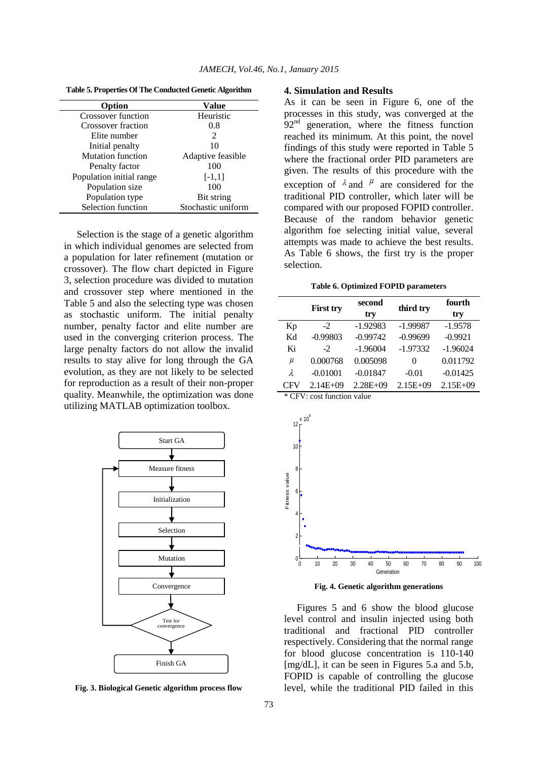| Option                    | Value              |
|---------------------------|--------------------|
| Crossover function        | Heuristic          |
| <b>Crossover fraction</b> | 0.8                |
| Elite number              | 2                  |
| Initial penalty           | 10                 |
| <b>Mutation function</b>  | Adaptive feasible  |
| Penalty factor            | 100                |
| Population initial range  | $[-1,1]$           |
| Population size           | 100                |
| Population type           | Bit string         |
| Selection function        | Stochastic uniform |

**Table 5. Properties Of The Conducted Genetic Algorithm**

Selection is the stage of a genetic algorithm in which individual genomes are selected from a population for later refinement (mutation or crossover). The flow chart depicted in Figure 3, selection procedure was divided to mutation and crossover step where mentioned in the Table 5 and also the selecting type was chosen as stochastic uniform. The initial penalty number, penalty factor and elite number are used in the converging criterion process. The large penalty factors do not allow the invalid results to stay alive for long through the GA evolution, as they are not likely to be selected for reproduction as a result of their non-proper quality. Meanwhile, the optimization was done utilizing MATLAB optimization toolbox.



**Fig. 3. Biological Genetic algorithm process flow**

#### **4. Simulation and Results**

As it can be seen in Figure 6, one of the processes in this study, was converged at the  $92<sup>nd</sup>$  generation, where the fitness function reached its minimum. At this point, the novel findings of this study were reported in Table 5 where the fractional order PID parameters are given. The results of this procedure with the exception of  $\lambda$  and  $\mu$  are considered for the traditional PID controller, which later will be compared with our proposed FOPID controller. Because of the random behavior genetic algorithm foe selecting initial value, several attempts was made to achieve the best results. As Table 6 shows, the first try is the proper selection.

**Table 6. Optimized FOPID parameters**

|           |                  | second     |            |            |
|-----------|------------------|------------|------------|------------|
|           | <b>First try</b> | try        | third try  | try        |
| Kp        | $-2$             | $-1.92983$ | $-1.99987$ | $-1.9578$  |
| Kd        | $-0.99803$       | $-0.99742$ | $-0.99699$ | $-0.9921$  |
| Ki        | $-2$             | $-1.96004$ | $-1.97332$ | $-1.96024$ |
| μ         | 0.000768         | 0.005098   | 0          | 0.011792   |
| $\lambda$ | $-0.01001$       | $-0.01847$ | $-0.01$    | $-0.01425$ |
| CFV       | $2.14E + 09$     | $2.28E+09$ | $2.15E+09$ | $2.15E+09$ |

\* CFV: cost function value





Figures 5 and 6 show the blood glucose level control and insulin injected using both traditional and fractional PID controller respectively. Considering that the normal range for blood glucose concentration is 110-140 [mg/dL], it can be seen in Figures 5.a and 5.b, FOPID is capable of controlling the glucose level, while the traditional PID failed in this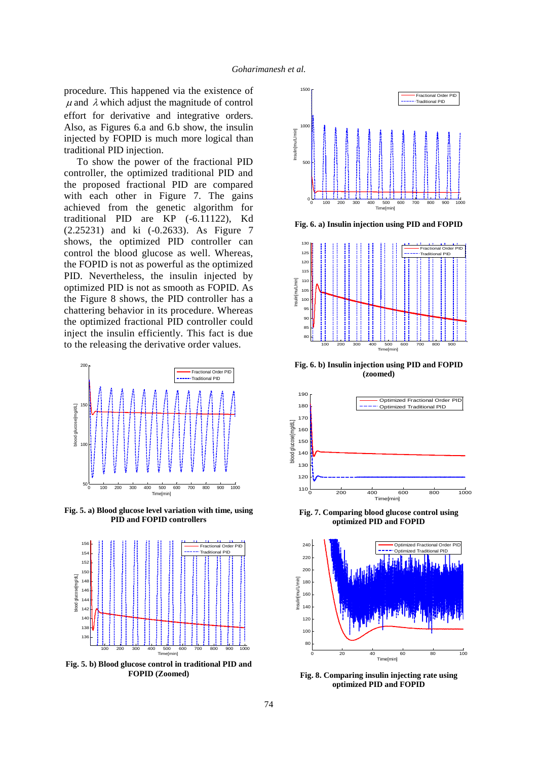procedure. This happened via the existence of  $\mu$  and  $\lambda$  which adjust the magnitude of control effort for derivative and integrative orders. Also, as Figures 6.a and 6.b show, the insulin injected by FOPID is much more logical than traditional PID injection.

To show the power of the fractional PID controller, the optimized traditional PID and the proposed fractional PID are compared with each other in Figure 7. The gains achieved from the genetic algorithm for traditional PID are KP (-6.11122), Kd (2.25231) and ki (-0.2633). As Figure 7 shows, the optimized PID controller can control the blood glucose as well. Whereas, the FOPID is not as powerful as the optimized PID. Nevertheless, the insulin injected by optimized PID is not as smooth as FOPID. As the Figure 8 shows, the PID controller has a chattering behavior in its procedure. Whereas the optimized fractional PID controller could inject the insulin efficiently. This fact is due to the releasing the derivative order values.



**Fig. 5. a) Blood glucose level variation with time, using PID and FOPID controllers**



**Fig. 5. b) Blood glucose control in traditional PID and FOPID (Zoomed)**



**Fig. 6. a) Insulin injection using PID and FOPID**



**Fig. 6. b) Insulin injection using PID and FOPID (zoomed)**



**Fig. 7. Comparing blood glucose control using optimized PID and FOPID** 



**Fig. 8. Comparing insulin injecting rate using optimized PID and FOPID**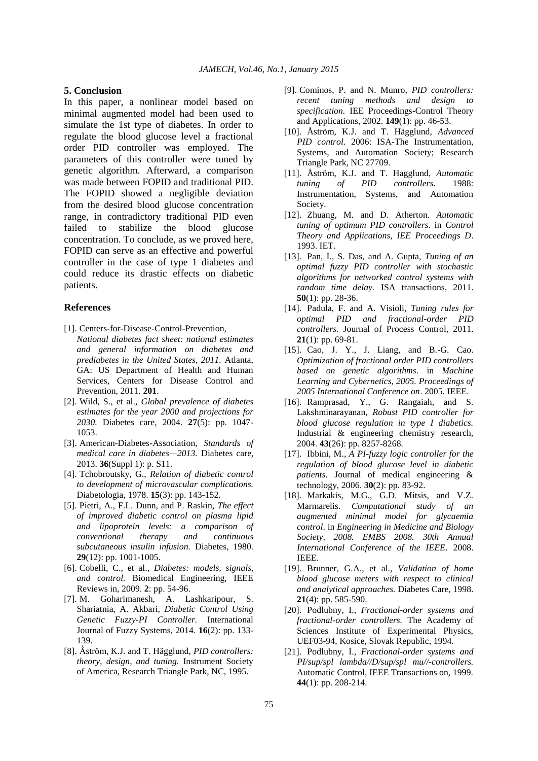#### **5. Conclusion**

In this paper, a nonlinear model based on minimal augmented model had been used to simulate the 1st type of diabetes. In order to regulate the blood glucose level a fractional order PID controller was employed. The parameters of this controller were tuned by genetic algorithm. Afterward, a comparison was made between FOPID and traditional PID. The FOPID showed a negligible deviation from the desired blood glucose concentration range, in contradictory traditional PID even failed to stabilize the blood glucose concentration. To conclude, as we proved here, FOPID can serve as an effective and powerful controller in the case of type 1 diabetes and could reduce its drastic effects on diabetic patients.

#### **References**

- [1]. Centers-for-Disease-Control-Prevention, *National diabetes fact sheet: national estimates and general information on diabetes and prediabetes in the United States, 2011.* Atlanta, GA: US Department of Health and Human Services, Centers for Disease Control and Prevention, 2011. **201**.
- [2]. Wild, S., et al., *Global prevalence of diabetes estimates for the year 2000 and projections for 2030.* Diabetes care, 2004. **27**(5): pp. 1047- 1053.
- [3]. American-Diabetes-Association, *Standards of medical care in diabetes—2013.* Diabetes care, 2013. **36**(Suppl 1): p. S11.
- [4]. Tchobroutsky, G., *Relation of diabetic control to development of microvascular complications.* Diabetologia, 1978. **15**(3): pp. 143-152.
- [5]. Pietri, A., F.L. Dunn, and P. Raskin, *The effect of improved diabetic control on plasma lipid and lipoprotein levels: a comparison of conventional therapy and continuous subcutaneous insulin infusion.* Diabetes, 1980. **29**(12): pp. 1001-1005.
- [6]. Cobelli, C., et al., *Diabetes: models, signals, and control.* Biomedical Engineering, IEEE Reviews in, 2009. **2**: pp. 54-96.
- [7]. M. Goharimanesh, A. Lashkaripour, S. Shariatnia, A. Akbari, *Diabetic Control Using Genetic Fuzzy-PI Controller.* International Journal of Fuzzy Systems, 2014. **16**(2): pp. 133- 139.
- [8]. Ǻström, K.J. and T. Hägglund, *PID controllers: theory, design, and tuning.* Instrument Society of America, Research Triangle Park, NC, 1995.
- [9]. Cominos, P. and N. Munro, *PID controllers: recent tuning methods and design to specification.* IEE Proceedings-Control Theory and Applications, 2002. **149**(1): pp. 46-53.
- [10]. Åström, K.J. and T. Hägglund, *Advanced PID control*. 2006: ISA-The Instrumentation, Systems, and Automation Society; Research Triangle Park, NC 27709.
- [11]. Åström, K.J. and T. Hagglund, *Automatic tuning of PID controllers*. 1988: Instrumentation, Systems, and Automation Society.
- [12]. Zhuang, M. and D. Atherton. *Automatic tuning of optimum PID controllers*. in *Control Theory and Applications, IEE Proceedings D*. 1993. IET.
- [13]. Pan, I., S. Das, and A. Gupta, *Tuning of an optimal fuzzy PID controller with stochastic algorithms for networked control systems with random time delay.* ISA transactions, 2011. **50**(1): pp. 28-36.
- [14]. Padula, F. and A. Visioli, *Tuning rules for optimal PID and fractional-order PID controllers.* Journal of Process Control, 2011. **21**(1): pp. 69-81.
- [15]. Cao, J. Y., J. Liang, and B.-G. Cao. *Optimization of fractional order PID controllers based on genetic algorithms*. in *Machine Learning and Cybernetics, 2005. Proceedings of 2005 International Conference on*. 2005. IEEE.
- [16]. Ramprasad, Y., G. Rangaiah, and S. Lakshminarayanan, *Robust PID controller for blood glucose regulation in type I diabetics.* Industrial & engineering chemistry research, 2004. **43**(26): pp. 8257-8268.
- [17]. Ibbini, M., *A PI-fuzzy logic controller for the regulation of blood glucose level in diabetic patients.* Journal of medical engineering & technology, 2006. **30**(2): pp. 83-92.
- [18]. Markakis, M.G., G.D. Mitsis, and V.Z. Marmarelis. *Computational study of an augmented minimal model for glycaemia control*. in *Engineering in Medicine and Biology Society, 2008. EMBS 2008. 30th Annual International Conference of the IEEE*. 2008. IEEE.
- [19]. Brunner, G.A., et al., *Validation of home blood glucose meters with respect to clinical and analytical approaches.* Diabetes Care, 1998. **21**(4): pp. 585-590.
- [20]. Podlubny, I., *Fractional-order systems and fractional-order controllers.* The Academy of Sciences Institute of Experimental Physics, UEF03-94, Kosice, Slovak Republic, 1994.
- [21]. Podlubny, I., *Fractional-order systems and PI/sup/spl lambda//D/sup/spl mu//-controllers.* Automatic Control, IEEE Transactions on, 1999. **44**(1): pp. 208-214.